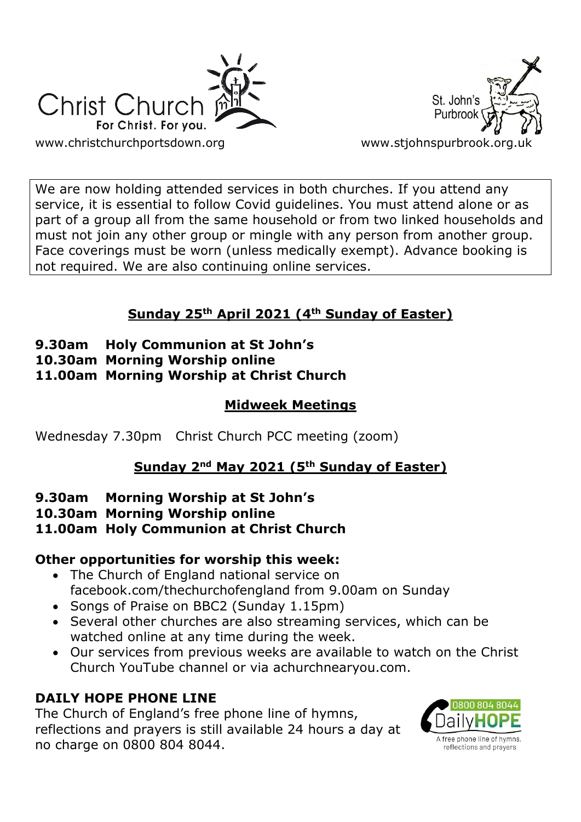



We are now holding attended services in both churches. If you attend any service, it is essential to follow Covid guidelines. You must attend alone or as part of a group all from the same household or from two linked households and must not join any other group or mingle with any person from another group. Face coverings must be worn (unless medically exempt). Advance booking is not required. We are also continuing online services.

# **Sunday 25th April 2021 (4th Sunday of Easter)**

- **9.30am Holy Communion at St John's**
- **10.30am Morning Worship online**
- **11.00am Morning Worship at Christ Church**

# **Midweek Meetings**

Wednesday 7.30pm Christ Church PCC meeting (zoom)

# **Sunday 2nd May 2021 (5th Sunday of Easter)**

# **9.30am Morning Worship at St John's**

**10.30am Morning Worship online**

# **11.00am Holy Communion at Christ Church**

# **Other opportunities for worship this week:**

- The Church of England national service on facebook.com/thechurchofengland from 9.00am on Sunday
- Songs of Praise on BBC2 (Sunday 1.15pm)
- Several other churches are also streaming services, which can be watched online at any time during the week.
- Our services from previous weeks are available to watch on the Christ Church YouTube channel or via achurchnearyou.com.

# **DAILY HOPE PHONE LINE**

The Church of England's free phone line of hymns, reflections and prayers is still available 24 hours a day at no charge on 0800 804 8044.

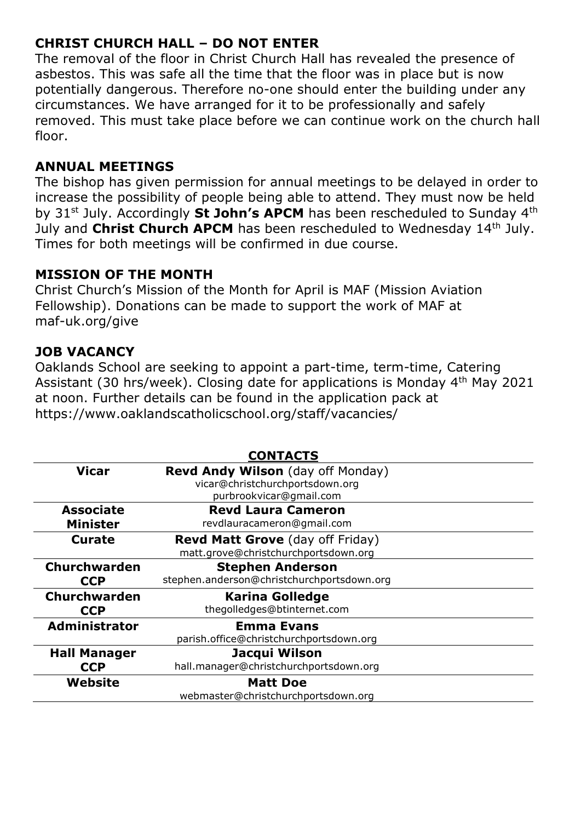## **CHRIST CHURCH HALL – DO NOT ENTER**

The removal of the floor in Christ Church Hall has revealed the presence of asbestos. This was safe all the time that the floor was in place but is now potentially dangerous. Therefore no-one should enter the building under any circumstances. We have arranged for it to be professionally and safely removed. This must take place before we can continue work on the church hall floor.

## **ANNUAL MEETINGS**

The bishop has given permission for annual meetings to be delayed in order to increase the possibility of people being able to attend. They must now be held by 31st July. Accordingly **St John's APCM** has been rescheduled to Sunday 4th July and Christ Church APCM has been rescheduled to Wednesday 14<sup>th</sup> July. Times for both meetings will be confirmed in due course.

## **MISSION OF THE MONTH**

Christ Church's Mission of the Month for April is MAF (Mission Aviation Fellowship). Donations can be made to support the work of MAF at maf-uk.org/give

## **JOB VACANCY**

Oaklands School are seeking to appoint a part-time, term-time, Catering Assistant (30 hrs/week). Closing date for applications is Monday 4<sup>th</sup> May 2021 at noon. Further details can be found in the application pack at https://www.oaklandscatholicschool.org/staff/vacancies/

| <b>CONTACTS</b>      |                                            |
|----------------------|--------------------------------------------|
| <b>Vicar</b>         | <b>Revd Andy Wilson</b> (day off Monday)   |
|                      | vicar@christchurchportsdown.org            |
|                      | purbrookvicar@gmail.com                    |
| <b>Associate</b>     | <b>Revd Laura Cameron</b>                  |
| <b>Minister</b>      | revdlauracameron@gmail.com                 |
| <b>Curate</b>        | <b>Revd Matt Grove</b> (day off Friday)    |
|                      | matt.grove@christchurchportsdown.org       |
| Churchwarden         | <b>Stephen Anderson</b>                    |
| <b>CCP</b>           | stephen.anderson@christchurchportsdown.org |
| <b>Churchwarden</b>  | <b>Karina Golledge</b>                     |
| <b>CCP</b>           | thegolledges@btinternet.com                |
| <b>Administrator</b> | <b>Emma Evans</b>                          |
|                      | parish.office@christchurchportsdown.org    |
| <b>Hall Manager</b>  | Jacqui Wilson                              |
| <b>CCP</b>           | hall.manager@christchurchportsdown.org     |
| Website              | <b>Matt Doe</b>                            |
|                      | webmaster@christchurchportsdown.org        |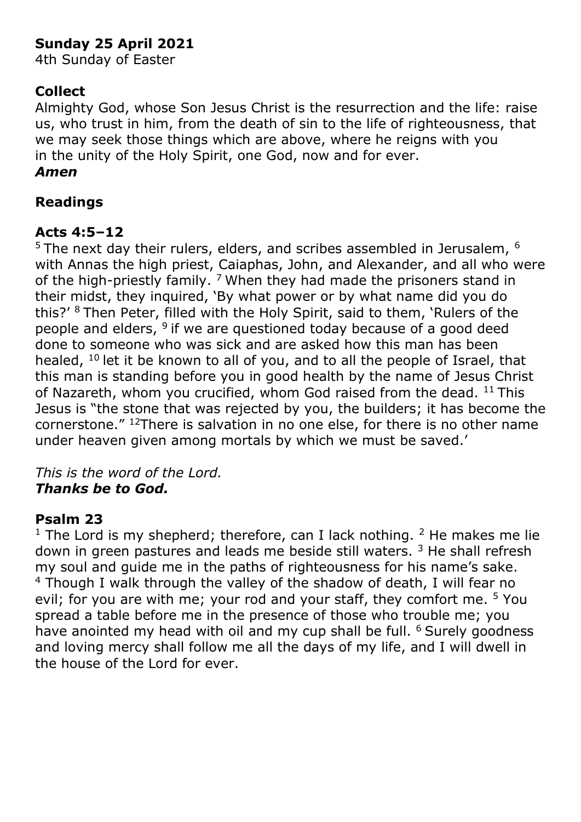# **Sunday 25 April 2021**

4th Sunday of Easter

## **Collect**

Almighty God, whose Son Jesus Christ is the resurrection and the life: raise us, who trust in him, from the death of sin to the life of righteousness, that we may seek those things which are above, where he reigns with you in the unity of the Holy Spirit, one God, now and for ever. *Amen*

## **Readings**

## **Acts 4:5–12**

 $5$  The next day their rulers, elders, and scribes assembled in Jerusalem,  $6$ with Annas the high priest, Caiaphas, John, and Alexander, and all who were of the high-priestly family.  $7$  When they had made the prisoners stand in their midst, they inquired, 'By what power or by what name did you do this?' <sup>8</sup> Then Peter, filled with the Holy Spirit, said to them, 'Rulers of the people and elders,  $9$  if we are questioned today because of a good deed done to someone who was sick and are asked how this man has been healed,  $10$  let it be known to all of you, and to all the people of Israel, that this man is standing before you in good health by the name of Jesus Christ of Nazareth, whom you crucified, whom God raised from the dead. <sup>11</sup> This Jesus is "the stone that was rejected by you, the builders; it has become the cornerstone." <sup>12</sup>There is salvation in no one else, for there is no other name under heaven given among mortals by which we must be saved.'

### *This is the word of the Lord. Thanks be to God.*

### **Psalm 23**

<sup>1</sup> The Lord is my shepherd; therefore, can I lack nothing. <sup>2</sup> He makes me lie down in green pastures and leads me beside still waters.<sup>3</sup> He shall refresh my soul and guide me in the paths of righteousness for his name's sake. <sup>4</sup> Though I walk through the valley of the shadow of death, I will fear no evil; for you are with me; your rod and your staff, they comfort me. <sup>5</sup> You spread a table before me in the presence of those who trouble me; you have anointed my head with oil and my cup shall be full. <sup>6</sup> Surely goodness and loving mercy shall follow me all the days of my life, and I will dwell in the house of the Lord for ever.